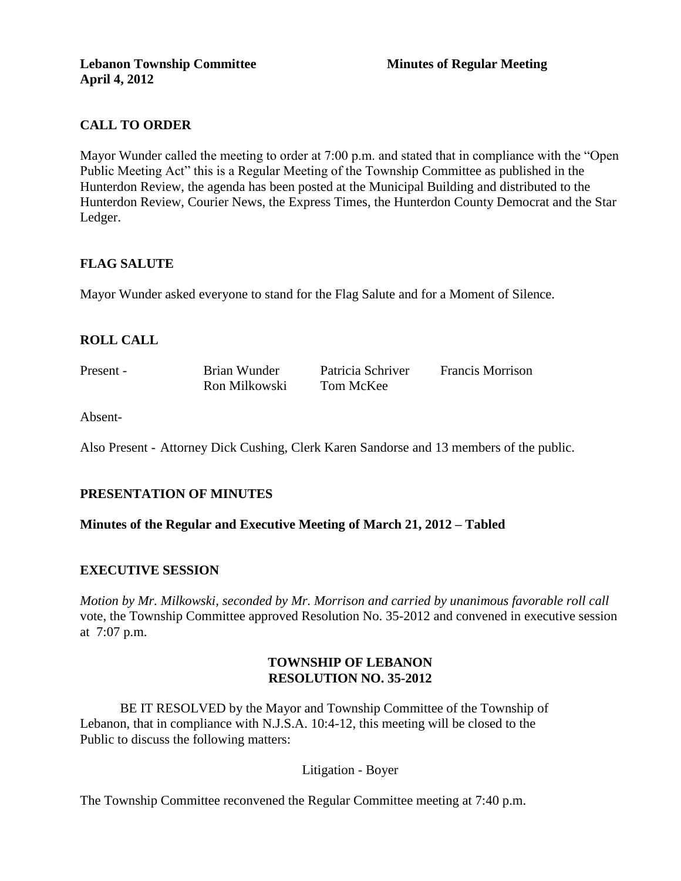## **CALL TO ORDER**

Mayor Wunder called the meeting to order at 7:00 p.m. and stated that in compliance with the "Open Public Meeting Act" this is a Regular Meeting of the Township Committee as published in the Hunterdon Review, the agenda has been posted at the Municipal Building and distributed to the Hunterdon Review, Courier News, the Express Times, the Hunterdon County Democrat and the Star Ledger.

### **FLAG SALUTE**

Mayor Wunder asked everyone to stand for the Flag Salute and for a Moment of Silence.

## **ROLL CALL**

Present - Brian Wunder Patricia Schriver Francis Morrison Ron Milkowski Tom McKee

Absent-

Also Present - Attorney Dick Cushing, Clerk Karen Sandorse and 13 members of the public.

### **PRESENTATION OF MINUTES**

**Minutes of the Regular and Executive Meeting of March 21, 2012 – Tabled** 

### **EXECUTIVE SESSION**

*Motion by Mr. Milkowski, seconded by Mr. Morrison and carried by unanimous favorable roll call*  vote, the Township Committee approved Resolution No. 35-2012 and convened in executive session at 7:07 p.m.

### **TOWNSHIP OF LEBANON RESOLUTION NO. 35-2012**

BE IT RESOLVED by the Mayor and Township Committee of the Township of Lebanon, that in compliance with N.J.S.A. 10:4-12, this meeting will be closed to the Public to discuss the following matters:

### Litigation - Boyer

The Township Committee reconvened the Regular Committee meeting at 7:40 p.m.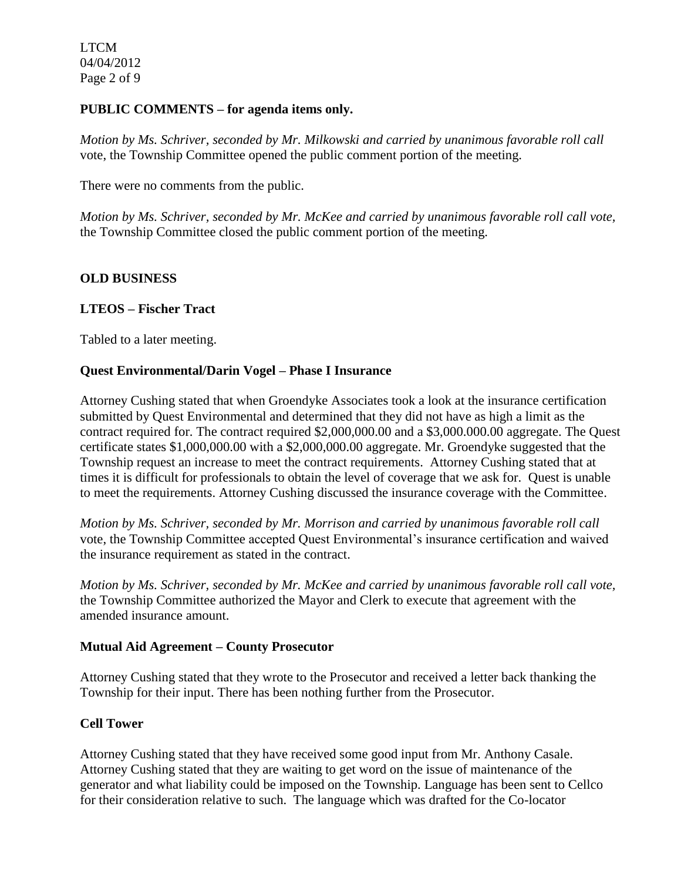LTCM 04/04/2012 Page 2 of 9

### **PUBLIC COMMENTS – for agenda items only.**

*Motion by Ms. Schriver, seconded by Mr. Milkowski and carried by unanimous favorable roll call*  vote, the Township Committee opened the public comment portion of the meeting.

There were no comments from the public.

*Motion by Ms. Schriver, seconded by Mr. McKee and carried by unanimous favorable roll call vote,* the Township Committee closed the public comment portion of the meeting.

### **OLD BUSINESS**

### **LTEOS – Fischer Tract**

Tabled to a later meeting.

### **Quest Environmental/Darin Vogel – Phase I Insurance**

Attorney Cushing stated that when Groendyke Associates took a look at the insurance certification submitted by Quest Environmental and determined that they did not have as high a limit as the contract required for. The contract required \$2,000,000.00 and a \$3,000.000.00 aggregate. The Quest certificate states \$1,000,000.00 with a \$2,000,000.00 aggregate. Mr. Groendyke suggested that the Township request an increase to meet the contract requirements. Attorney Cushing stated that at times it is difficult for professionals to obtain the level of coverage that we ask for. Quest is unable to meet the requirements. Attorney Cushing discussed the insurance coverage with the Committee.

*Motion by Ms. Schriver, seconded by Mr. Morrison and carried by unanimous favorable roll call*  vote, the Township Committee accepted Quest Environmental's insurance certification and waived the insurance requirement as stated in the contract.

*Motion by Ms. Schriver, seconded by Mr. McKee and carried by unanimous favorable roll call vote,* the Township Committee authorized the Mayor and Clerk to execute that agreement with the amended insurance amount.

### **Mutual Aid Agreement – County Prosecutor**

Attorney Cushing stated that they wrote to the Prosecutor and received a letter back thanking the Township for their input. There has been nothing further from the Prosecutor.

### **Cell Tower**

Attorney Cushing stated that they have received some good input from Mr. Anthony Casale. Attorney Cushing stated that they are waiting to get word on the issue of maintenance of the generator and what liability could be imposed on the Township. Language has been sent to Cellco for their consideration relative to such. The language which was drafted for the Co-locator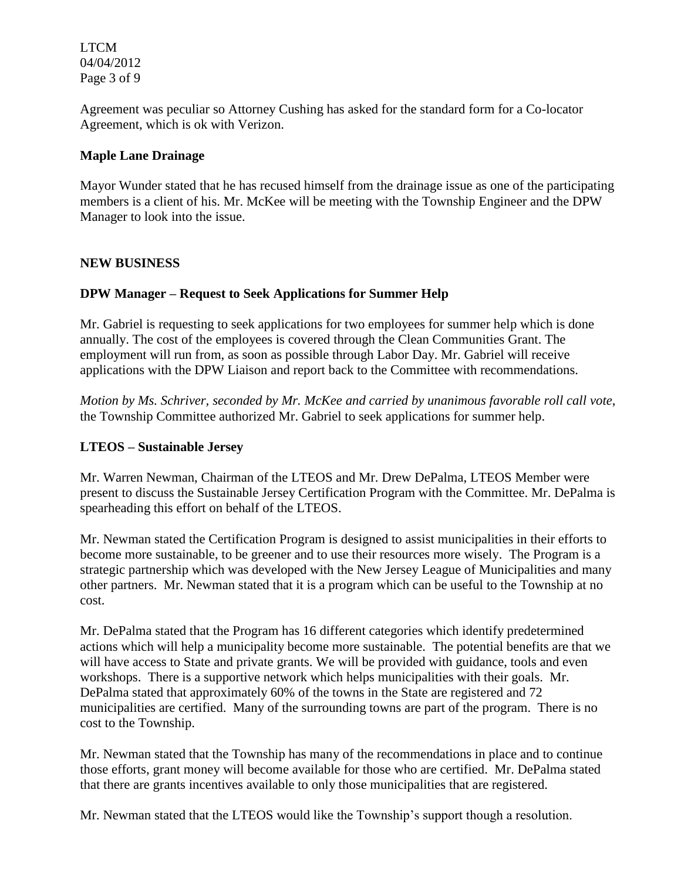LTCM 04/04/2012 Page 3 of 9

Agreement was peculiar so Attorney Cushing has asked for the standard form for a Co-locator Agreement, which is ok with Verizon.

### **Maple Lane Drainage**

Mayor Wunder stated that he has recused himself from the drainage issue as one of the participating members is a client of his. Mr. McKee will be meeting with the Township Engineer and the DPW Manager to look into the issue.

### **NEW BUSINESS**

## **DPW Manager – Request to Seek Applications for Summer Help**

Mr. Gabriel is requesting to seek applications for two employees for summer help which is done annually. The cost of the employees is covered through the Clean Communities Grant. The employment will run from, as soon as possible through Labor Day. Mr. Gabriel will receive applications with the DPW Liaison and report back to the Committee with recommendations.

*Motion by Ms. Schriver, seconded by Mr. McKee and carried by unanimous favorable roll call vote*, the Township Committee authorized Mr. Gabriel to seek applications for summer help.

### **LTEOS – Sustainable Jersey**

Mr. Warren Newman, Chairman of the LTEOS and Mr. Drew DePalma, LTEOS Member were present to discuss the Sustainable Jersey Certification Program with the Committee. Mr. DePalma is spearheading this effort on behalf of the LTEOS.

Mr. Newman stated the Certification Program is designed to assist municipalities in their efforts to become more sustainable, to be greener and to use their resources more wisely. The Program is a strategic partnership which was developed with the New Jersey League of Municipalities and many other partners. Mr. Newman stated that it is a program which can be useful to the Township at no cost.

Mr. DePalma stated that the Program has 16 different categories which identify predetermined actions which will help a municipality become more sustainable. The potential benefits are that we will have access to State and private grants. We will be provided with guidance, tools and even workshops. There is a supportive network which helps municipalities with their goals. Mr. DePalma stated that approximately 60% of the towns in the State are registered and 72 municipalities are certified. Many of the surrounding towns are part of the program. There is no cost to the Township.

Mr. Newman stated that the Township has many of the recommendations in place and to continue those efforts, grant money will become available for those who are certified. Mr. DePalma stated that there are grants incentives available to only those municipalities that are registered.

Mr. Newman stated that the LTEOS would like the Township's support though a resolution.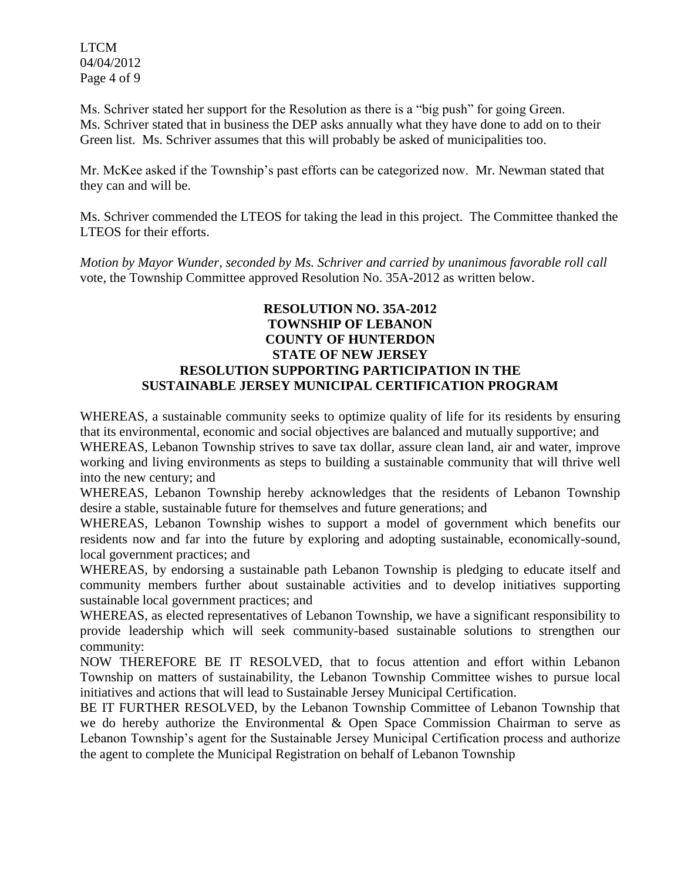LTCM 04/04/2012 Page 4 of 9

Ms. Schriver stated her support for the Resolution as there is a "big push" for going Green. Ms. Schriver stated that in business the DEP asks annually what they have done to add on to their Green list. Ms. Schriver assumes that this will probably be asked of municipalities too.

Mr. McKee asked if the Township's past efforts can be categorized now. Mr. Newman stated that they can and will be.

Ms. Schriver commended the LTEOS for taking the lead in this project. The Committee thanked the LTEOS for their efforts.

*Motion by Mayor Wunder, seconded by Ms. Schriver and carried by unanimous favorable roll call*  vote, the Township Committee approved Resolution No. 35A-2012 as written below.

### **RESOLUTION NO. 35A-2012 TOWNSHIP OF LEBANON COUNTY OF HUNTERDON STATE OF NEW JERSEY RESOLUTION SUPPORTING PARTICIPATION IN THE SUSTAINABLE JERSEY MUNICIPAL CERTIFICATION PROGRAM**

WHEREAS, a sustainable community seeks to optimize quality of life for its residents by ensuring that its environmental, economic and social objectives are balanced and mutually supportive; and WHEREAS, Lebanon Township strives to save tax dollar, assure clean land, air and water, improve

working and living environments as steps to building a sustainable community that will thrive well into the new century; and

WHEREAS, Lebanon Township hereby acknowledges that the residents of Lebanon Township desire a stable, sustainable future for themselves and future generations; and

WHEREAS, Lebanon Township wishes to support a model of government which benefits our residents now and far into the future by exploring and adopting sustainable, economically-sound, local government practices; and

WHEREAS, by endorsing a sustainable path Lebanon Township is pledging to educate itself and community members further about sustainable activities and to develop initiatives supporting sustainable local government practices; and

WHEREAS, as elected representatives of Lebanon Township, we have a significant responsibility to provide leadership which will seek community-based sustainable solutions to strengthen our community:

NOW THEREFORE BE IT RESOLVED, that to focus attention and effort within Lebanon Township on matters of sustainability, the Lebanon Township Committee wishes to pursue local initiatives and actions that will lead to Sustainable Jersey Municipal Certification.

BE IT FURTHER RESOLVED, by the Lebanon Township Committee of Lebanon Township that we do hereby authorize the Environmental & Open Space Commission Chairman to serve as Lebanon Township's agent for the Sustainable Jersey Municipal Certification process and authorize the agent to complete the Municipal Registration on behalf of Lebanon Township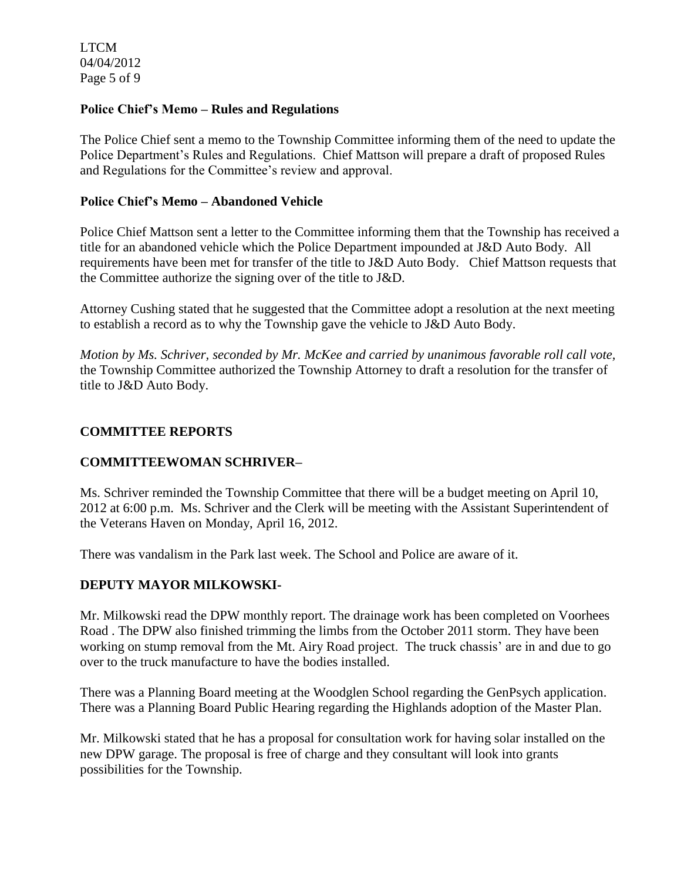LTCM 04/04/2012 Page 5 of 9

### **Police Chief's Memo – Rules and Regulations**

The Police Chief sent a memo to the Township Committee informing them of the need to update the Police Department's Rules and Regulations. Chief Mattson will prepare a draft of proposed Rules and Regulations for the Committee's review and approval.

### **Police Chief's Memo – Abandoned Vehicle**

Police Chief Mattson sent a letter to the Committee informing them that the Township has received a title for an abandoned vehicle which the Police Department impounded at J&D Auto Body. All requirements have been met for transfer of the title to J&D Auto Body. Chief Mattson requests that the Committee authorize the signing over of the title to J&D.

Attorney Cushing stated that he suggested that the Committee adopt a resolution at the next meeting to establish a record as to why the Township gave the vehicle to J&D Auto Body.

*Motion by Ms. Schriver, seconded by Mr. McKee and carried by unanimous favorable roll call vote,* the Township Committee authorized the Township Attorney to draft a resolution for the transfer of title to J&D Auto Body.

## **COMMITTEE REPORTS**

## **COMMITTEEWOMAN SCHRIVER–**

Ms. Schriver reminded the Township Committee that there will be a budget meeting on April 10, 2012 at 6:00 p.m. Ms. Schriver and the Clerk will be meeting with the Assistant Superintendent of the Veterans Haven on Monday, April 16, 2012.

There was vandalism in the Park last week. The School and Police are aware of it.

## **DEPUTY MAYOR MILKOWSKI-**

Mr. Milkowski read the DPW monthly report. The drainage work has been completed on Voorhees Road . The DPW also finished trimming the limbs from the October 2011 storm. They have been working on stump removal from the Mt. Airy Road project. The truck chassis' are in and due to go over to the truck manufacture to have the bodies installed.

There was a Planning Board meeting at the Woodglen School regarding the GenPsych application. There was a Planning Board Public Hearing regarding the Highlands adoption of the Master Plan.

Mr. Milkowski stated that he has a proposal for consultation work for having solar installed on the new DPW garage. The proposal is free of charge and they consultant will look into grants possibilities for the Township.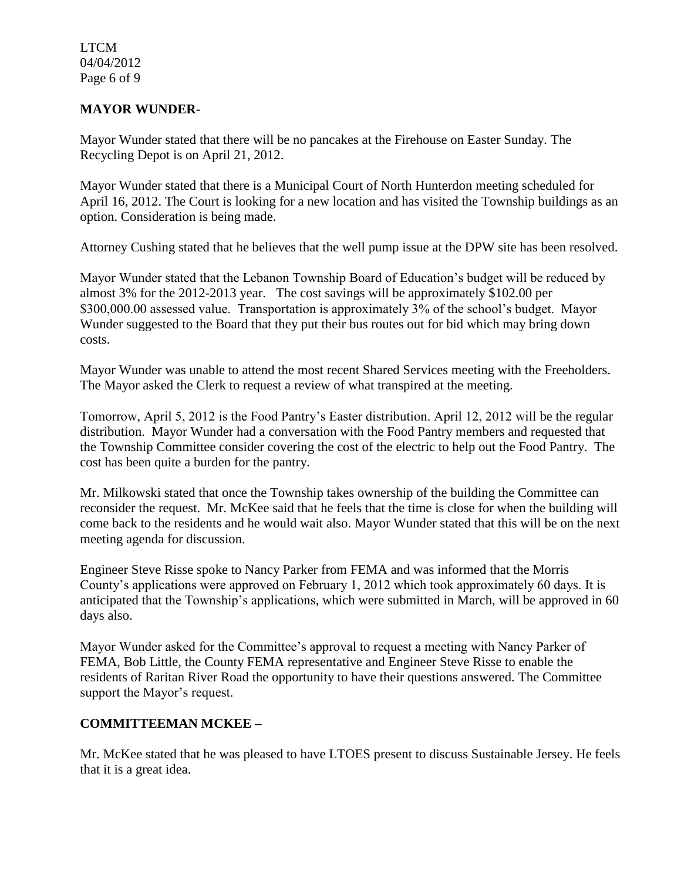LTCM 04/04/2012 Page 6 of 9

### **MAYOR WUNDER-**

Mayor Wunder stated that there will be no pancakes at the Firehouse on Easter Sunday. The Recycling Depot is on April 21, 2012.

Mayor Wunder stated that there is a Municipal Court of North Hunterdon meeting scheduled for April 16, 2012. The Court is looking for a new location and has visited the Township buildings as an option. Consideration is being made.

Attorney Cushing stated that he believes that the well pump issue at the DPW site has been resolved.

Mayor Wunder stated that the Lebanon Township Board of Education's budget will be reduced by almost 3% for the 2012-2013 year. The cost savings will be approximately \$102.00 per \$300,000.00 assessed value. Transportation is approximately 3% of the school's budget. Mayor Wunder suggested to the Board that they put their bus routes out for bid which may bring down costs.

Mayor Wunder was unable to attend the most recent Shared Services meeting with the Freeholders. The Mayor asked the Clerk to request a review of what transpired at the meeting.

Tomorrow, April 5, 2012 is the Food Pantry's Easter distribution. April 12, 2012 will be the regular distribution. Mayor Wunder had a conversation with the Food Pantry members and requested that the Township Committee consider covering the cost of the electric to help out the Food Pantry. The cost has been quite a burden for the pantry.

Mr. Milkowski stated that once the Township takes ownership of the building the Committee can reconsider the request. Mr. McKee said that he feels that the time is close for when the building will come back to the residents and he would wait also. Mayor Wunder stated that this will be on the next meeting agenda for discussion.

Engineer Steve Risse spoke to Nancy Parker from FEMA and was informed that the Morris County's applications were approved on February 1, 2012 which took approximately 60 days. It is anticipated that the Township's applications, which were submitted in March, will be approved in 60 days also.

Mayor Wunder asked for the Committee's approval to request a meeting with Nancy Parker of FEMA, Bob Little, the County FEMA representative and Engineer Steve Risse to enable the residents of Raritan River Road the opportunity to have their questions answered. The Committee support the Mayor's request.

## **COMMITTEEMAN MCKEE –**

Mr. McKee stated that he was pleased to have LTOES present to discuss Sustainable Jersey. He feels that it is a great idea.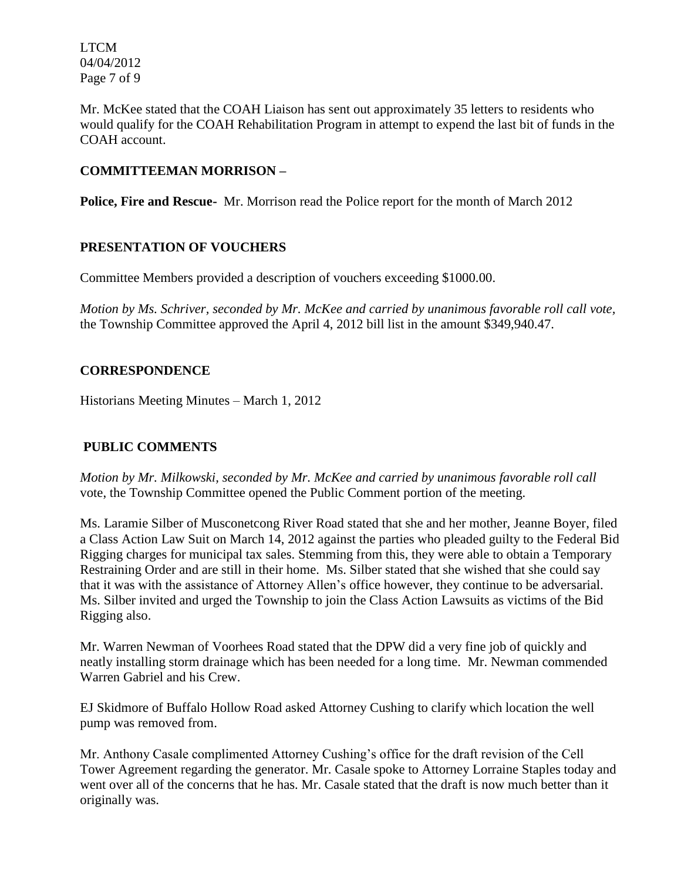LTCM 04/04/2012 Page 7 of 9

Mr. McKee stated that the COAH Liaison has sent out approximately 35 letters to residents who would qualify for the COAH Rehabilitation Program in attempt to expend the last bit of funds in the COAH account.

## **COMMITTEEMAN MORRISON –**

**Police, Fire and Rescue-** Mr. Morrison read the Police report for the month of March 2012

## **PRESENTATION OF VOUCHERS**

Committee Members provided a description of vouchers exceeding \$1000.00.

*Motion by Ms. Schriver, seconded by Mr. McKee and carried by unanimous favorable roll call vote,* the Township Committee approved the April 4, 2012 bill list in the amount \$349,940.47.

# **CORRESPONDENCE**

Historians Meeting Minutes – March 1, 2012

## **PUBLIC COMMENTS**

*Motion by Mr. Milkowski, seconded by Mr. McKee and carried by unanimous favorable roll call*  vote, the Township Committee opened the Public Comment portion of the meeting.

Ms. Laramie Silber of Musconetcong River Road stated that she and her mother, Jeanne Boyer, filed a Class Action Law Suit on March 14, 2012 against the parties who pleaded guilty to the Federal Bid Rigging charges for municipal tax sales. Stemming from this, they were able to obtain a Temporary Restraining Order and are still in their home. Ms. Silber stated that she wished that she could say that it was with the assistance of Attorney Allen's office however, they continue to be adversarial. Ms. Silber invited and urged the Township to join the Class Action Lawsuits as victims of the Bid Rigging also.

Mr. Warren Newman of Voorhees Road stated that the DPW did a very fine job of quickly and neatly installing storm drainage which has been needed for a long time. Mr. Newman commended Warren Gabriel and his Crew.

EJ Skidmore of Buffalo Hollow Road asked Attorney Cushing to clarify which location the well pump was removed from.

Mr. Anthony Casale complimented Attorney Cushing's office for the draft revision of the Cell Tower Agreement regarding the generator. Mr. Casale spoke to Attorney Lorraine Staples today and went over all of the concerns that he has. Mr. Casale stated that the draft is now much better than it originally was.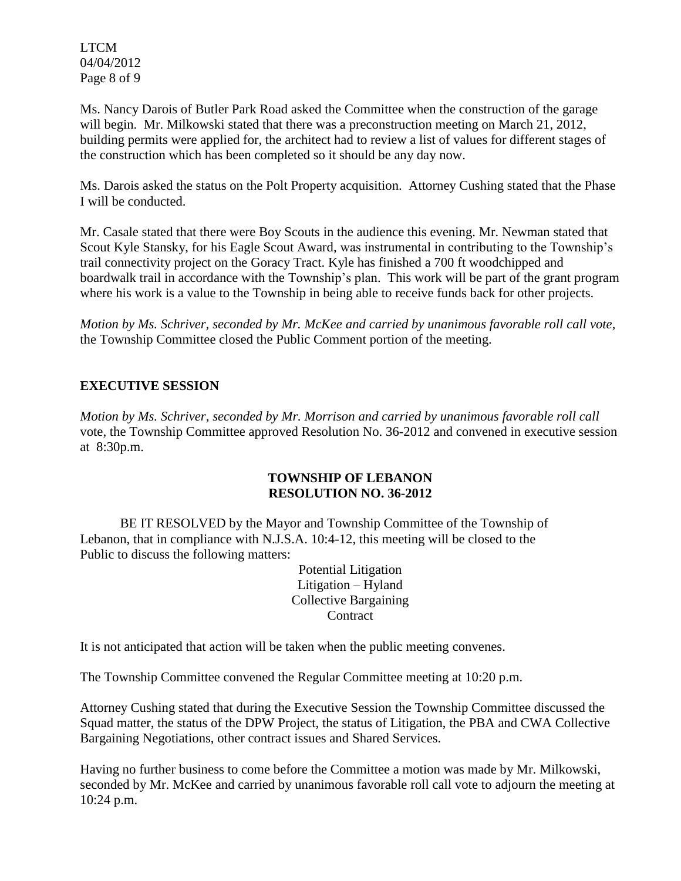LTCM 04/04/2012 Page 8 of 9

Ms. Nancy Darois of Butler Park Road asked the Committee when the construction of the garage will begin. Mr. Milkowski stated that there was a preconstruction meeting on March 21, 2012, building permits were applied for, the architect had to review a list of values for different stages of the construction which has been completed so it should be any day now.

Ms. Darois asked the status on the Polt Property acquisition. Attorney Cushing stated that the Phase I will be conducted.

Mr. Casale stated that there were Boy Scouts in the audience this evening. Mr. Newman stated that Scout Kyle Stansky, for his Eagle Scout Award, was instrumental in contributing to the Township's trail connectivity project on the Goracy Tract. Kyle has finished a 700 ft woodchipped and boardwalk trail in accordance with the Township's plan. This work will be part of the grant program where his work is a value to the Township in being able to receive funds back for other projects.

*Motion by Ms. Schriver, seconded by Mr. McKee and carried by unanimous favorable roll call vote,* the Township Committee closed the Public Comment portion of the meeting.

# **EXECUTIVE SESSION**

*Motion by Ms. Schriver, seconded by Mr. Morrison and carried by unanimous favorable roll call*  vote, the Township Committee approved Resolution No. 36-2012 and convened in executive session at 8:30p.m.

### **TOWNSHIP OF LEBANON RESOLUTION NO. 36-2012**

BE IT RESOLVED by the Mayor and Township Committee of the Township of Lebanon, that in compliance with N.J.S.A. 10:4-12, this meeting will be closed to the Public to discuss the following matters:

> Potential Litigation Litigation – Hyland Collective Bargaining **Contract**

It is not anticipated that action will be taken when the public meeting convenes.

The Township Committee convened the Regular Committee meeting at 10:20 p.m.

Attorney Cushing stated that during the Executive Session the Township Committee discussed the Squad matter, the status of the DPW Project, the status of Litigation, the PBA and CWA Collective Bargaining Negotiations, other contract issues and Shared Services.

Having no further business to come before the Committee a motion was made by Mr. Milkowski, seconded by Mr. McKee and carried by unanimous favorable roll call vote to adjourn the meeting at 10:24 p.m.